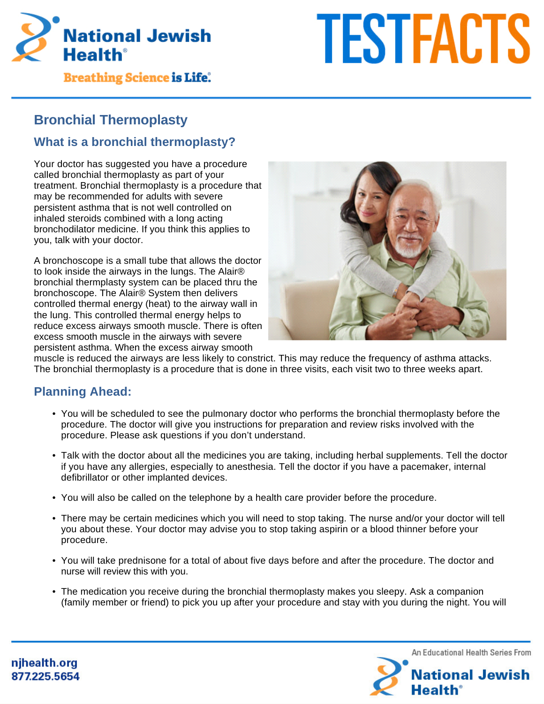

# **TESTFACTS**

**Breathing Science is Life.** 

# **Bronchial Thermoplasty**

# **What is a bronchial thermoplasty?**

Your doctor has suggested you have a procedure called bronchial thermoplasty as part of your treatment. Bronchial thermoplasty is a procedure that may be recommended for adults with severe persistent asthma that is not well controlled on inhaled steroids combined with a long acting bronchodilator medicine. If you think this applies to you, talk with your doctor.

A bronchoscope is a small tube that allows the doctor to look inside the airways in the lungs. The Alair® bronchial thermplasty system can be placed thru the bronchoscope. The Alair® System then delivers controlled thermal energy (heat) to the airway wall in the lung. This controlled thermal energy helps to reduce excess airways smooth muscle. There is often excess smooth muscle in the airways with severe persistent asthma. When the excess airway smooth



muscle is reduced the airways are less likely to constrict. This may reduce the frequency of asthma attacks. The bronchial thermoplasty is a procedure that is done in three visits, each visit two to three weeks apart.

# **Planning Ahead:**

- You will be scheduled to see the pulmonary doctor who performs the bronchial thermoplasty before the procedure. The doctor will give you instructions for preparation and review risks involved with the procedure. Please ask questions if you don't understand.
- Talk with the doctor about all the medicines you are taking, including herbal supplements. Tell the doctor if you have any allergies, especially to anesthesia. Tell the doctor if you have a pacemaker, internal defibrillator or other implanted devices.
- You will also be called on the telephone by a health care provider before the procedure.
- There may be certain medicines which you will need to stop taking. The nurse and/or your doctor will tell you about these. Your doctor may advise you to stop taking aspirin or a blood thinner before your procedure.
- You will take prednisone for a total of about five days before and after the procedure. The doctor and nurse will review this with you.
- The medication you receive during the bronchial thermoplasty makes you sleepy. Ask a companion (family member or friend) to pick you up after your procedure and stay with you during the night. You will

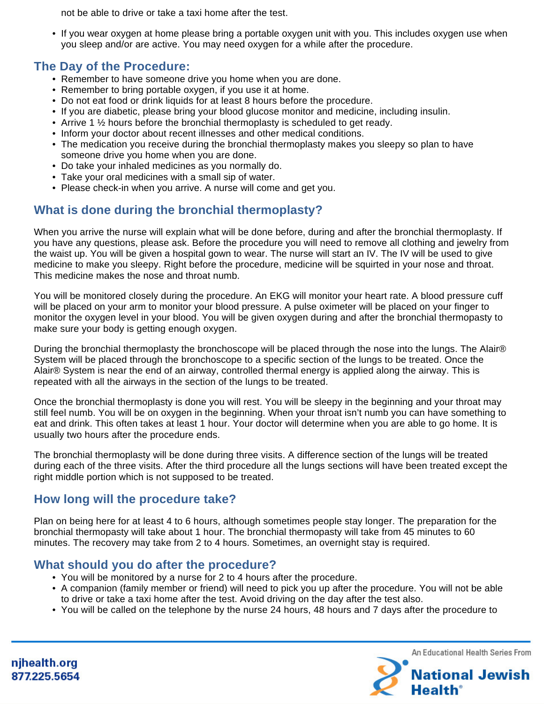not be able to drive or take a taxi home after the test.

• If you wear oxygen at home please bring a portable oxygen unit with you. This includes oxygen use when you sleep and/or are active. You may need oxygen for a while after the procedure.

### **The Day of the Procedure:**

- Remember to have someone drive you home when you are done.
- Remember to bring portable oxygen, if you use it at home.
- Do not eat food or drink liquids for at least 8 hours before the procedure.
- If you are diabetic, please bring your blood glucose monitor and medicine, including insulin.
- Arrive 1  $\frac{1}{2}$  hours before the bronchial thermoplasty is scheduled to get ready.
- Inform your doctor about recent illnesses and other medical conditions.
- The medication you receive during the bronchial thermoplasty makes you sleepy so plan to have someone drive you home when you are done.
- Do take your inhaled medicines as you normally do.
- Take your oral medicines with a small sip of water.
- Please check-in when you arrive. A nurse will come and get you.

## **What is done during the bronchial thermoplasty?**

When you arrive the nurse will explain what will be done before, during and after the bronchial thermoplasty. If you have any questions, please ask. Before the procedure you will need to remove all clothing and jewelry from the waist up. You will be given a hospital gown to wear. The nurse will start an IV. The IV will be used to give medicine to make you sleepy. Right before the procedure, medicine will be squirted in your nose and throat. This medicine makes the nose and throat numb.

You will be monitored closely during the procedure. An EKG will monitor your heart rate. A blood pressure cuff will be placed on your arm to monitor your blood pressure. A pulse oximeter will be placed on your finger to monitor the oxygen level in your blood. You will be given oxygen during and after the bronchial thermopasty to make sure your body is getting enough oxygen.

During the bronchial thermoplasty the bronchoscope will be placed through the nose into the lungs. The Alair® System will be placed through the bronchoscope to a specific section of the lungs to be treated. Once the Alair® System is near the end of an airway, controlled thermal energy is applied along the airway. This is repeated with all the airways in the section of the lungs to be treated.

Once the bronchial thermoplasty is done you will rest. You will be sleepy in the beginning and your throat may still feel numb. You will be on oxygen in the beginning. When your throat isn't numb you can have something to eat and drink. This often takes at least 1 hour. Your doctor will determine when you are able to go home. It is usually two hours after the procedure ends.

The bronchial thermoplasty will be done during three visits. A difference section of the lungs will be treated during each of the three visits. After the third procedure all the lungs sections will have been treated except the right middle portion which is not supposed to be treated.

### **How long will the procedure take?**

Plan on being here for at least 4 to 6 hours, although sometimes people stay longer. The preparation for the bronchial thermopasty will take about 1 hour. The bronchial thermopasty will take from 45 minutes to 60 minutes. The recovery may take from 2 to 4 hours. Sometimes, an overnight stay is required.

### **What should you do after the procedure?**

- You will be monitored by a nurse for 2 to 4 hours after the procedure.
- A companion (family member or friend) will need to pick you up after the procedure. You will not be able to drive or take a taxi home after the test. Avoid driving on the day after the test also.
- You will be called on the telephone by the nurse 24 hours, 48 hours and 7 days after the procedure to



njhealth.org 877.225.5654